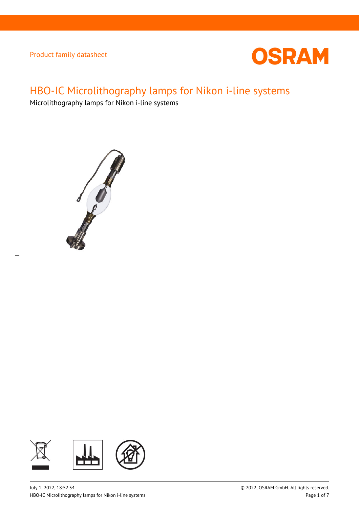

# HBO-IC Microlithography lamps for Nikon i-line systems

Microlithography lamps for Nikon i-line systems



 $\overline{a}$ 

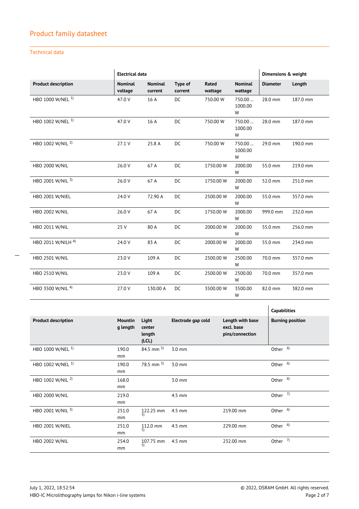### Technical data

|                               | <b>Electrical data</b>    |                           |                           |                  | Dimensions & weight       |                 |          |
|-------------------------------|---------------------------|---------------------------|---------------------------|------------------|---------------------------|-----------------|----------|
| <b>Product description</b>    | <b>Nominal</b><br>voltage | <b>Nominal</b><br>current | <b>Type of</b><br>current | Rated<br>wattage | <b>Nominal</b><br>wattage | <b>Diameter</b> | Length   |
| HBO 1000 W/NEL <sup>1)</sup>  | 47.0 V                    | 16 A                      | DC                        | 750.00 W         | 750.00<br>1000.00<br>W    | 28.0 mm         | 187.0 mm |
| HBO 1002 W/NEL <sup>1)</sup>  | 47.0 V                    | 16 A                      | DC                        | 750.00 W         | 750.00<br>1000.00<br>W    | 28.0 mm         | 187.0 mm |
| HBO 1002 W/NIL <sup>2)</sup>  | 27.1 V                    | 25.8 A                    | DC                        | 750.00 W         | 750.00<br>1000.00<br>W    | 29.0 mm         | 190.0 mm |
| HBO 2000 W/NIL                | 26.0 V                    | 67 A                      | DC                        | 1750.00 W        | 2000.00<br>W              | 55.0 mm         | 219.0 mm |
| HBO 2001 W/NIL 3)             | 26.0 V                    | 67 A                      | <b>DC</b>                 | 1750.00 W        | 2000.00<br>W              | 52.0 mm         | 251.0 mm |
| HBO 2001 W/NIEL               | 24.0 V                    | 72.90 A                   | DC                        | 2500.00 W        | 2000.00<br>W              | 55.0 mm         | 357.0 mm |
| <b>HBO 2002 W/NIL</b>         | 26.0 V                    | 67 A                      | DC                        | 1750.00 W        | 2000.00<br>W              | 999.0 mm        | 232.0 mm |
| HBO 2011 W/NIL                | 25 V                      | 80 A                      | DC                        | 2000.00 W        | 2000.00<br>W              | 55.0 mm         | 256.0 mm |
| HBO 2011 W/NILH <sup>4)</sup> | 24.0 V                    | 83 A                      | <b>DC</b>                 | 2000.00 W        | 2000.00<br>W              | 55.0 mm         | 234.0 mm |
| <b>HBO 2501 W/NIL</b>         | 23.0 V                    | 109 A                     | DC                        | 2500.00 W        | 2500.00<br>W              | 70.0 mm         | 357.0 mm |
| <b>HBO 2510 W/NIL</b>         | 23.0 V                    | 109 A                     | DC                        | 2500.00 W        | 2500.00<br>W              | 70.0 mm         | 357.0 mm |
| HBO 3500 W/NIL <sup>4)</sup>  | 27.0 V                    | 130.00 A                  | DC                        | 3500.00 W        | 3500.00<br>W              | 82.0 mm         | 382.0 mm |

|                              |                            |                                    |                    |                                                   | <b>Capabilities</b>     |
|------------------------------|----------------------------|------------------------------------|--------------------|---------------------------------------------------|-------------------------|
| <b>Product description</b>   | <b>Mountin</b><br>g length | Light<br>center<br>length<br>(LCL) | Electrode gap cold | Length with base<br>excl. base<br>pins/connection | <b>Burning position</b> |
| HBO 1000 W/NEL <sup>1)</sup> | 190.0<br>mm                | 84.5 mm $^{5)}$                    | $3.0$ mm           |                                                   | Other <sup>6)</sup>     |
| HBO 1002 W/NEL <sup>1)</sup> | 190.0<br>mm                | 78.5 mm $^{5)}$                    | $3.0$ mm           |                                                   | Other <sup>6)</sup>     |
| HBO 1002 W/NIL <sup>2)</sup> | 168.0<br>mm                |                                    | $3.0$ mm           |                                                   | Other <sup>6)</sup>     |
| <b>HBO 2000 W/NIL</b>        | 219.0<br>mm                |                                    | $4.5$ mm           |                                                   | Other $7)$              |
| HBO 2001 W/NIL 3)            | 251.0<br>mm                | 122.25 mm<br>5)                    | $4.5$ mm           | 219.00 mm                                         | Other $6$               |
| <b>HBO 2001 W/NIEL</b>       | 251.0<br>mm                | 112.0 mm<br>5)                     | $4.5$ mm           | 229.00 mm                                         | Other <sup>6)</sup>     |
| <b>HBO 2002 W/NIL</b>        | 254.0<br>mm                | 107.75 mm<br>5)                    | 4.5 mm             | 232.00 mm                                         | Other $7$               |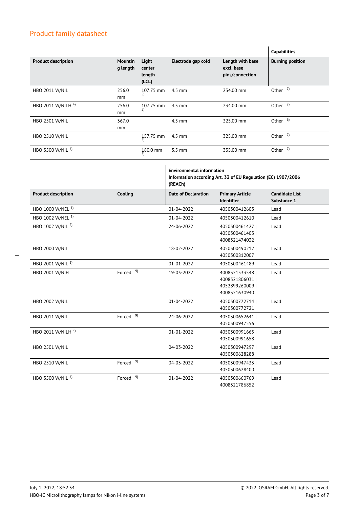|                               |                            |                                   |                    |                                                   | <b>Capabilities</b>     |
|-------------------------------|----------------------------|-----------------------------------|--------------------|---------------------------------------------------|-------------------------|
| <b>Product description</b>    | <b>Mountin</b><br>g length | Light<br>center<br>length<br>(CL) | Electrode gap cold | Length with base<br>excl. base<br>pins/connection | <b>Burning position</b> |
| <b>HBO 2011 W/NIL</b>         | 256.0<br><sub>mm</sub>     | 107.75 mm<br>5)                   | $4.5 \text{ mm}$   | 234.00 mm                                         | Other $7$               |
| HBO 2011 W/NILH <sup>4)</sup> | 256.0<br>mm                | 107.75 mm<br>5)                   | $4.5$ mm           | 234.00 mm                                         | Other $7$               |
| <b>HBO 2501 W/NIL</b>         | 367.0<br>mm                |                                   | $4.5$ mm           | 325.00 mm                                         | Other <sup>6)</sup>     |
| <b>HBO 2510 W/NIL</b>         |                            | 157.75 mm<br>5)                   | $4.5$ mm           | 325.00 mm                                         | Other $7$               |
| HBO 3500 W/NIL <sup>4)</sup>  |                            | 180.0 mm<br>5)                    | $5.5 \text{ mm}$   | 335.00 mm                                         | Other $7$               |

|                              |                      | <b>Environmental information</b><br>Information according Art. 33 of EU Regulation (EC) 1907/2006<br>(REACh) |                                                                      |                                      |
|------------------------------|----------------------|--------------------------------------------------------------------------------------------------------------|----------------------------------------------------------------------|--------------------------------------|
| <b>Product description</b>   | Cooling              | <b>Date of Declaration</b>                                                                                   | <b>Primary Article</b><br><b>Identifier</b>                          | <b>Candidate List</b><br>Substance 1 |
| HBO 1000 W/NEL <sup>1)</sup> |                      | 01-04-2022                                                                                                   | 4050300412603                                                        | Lead                                 |
| HBO 1002 W/NEL <sup>1)</sup> |                      | 01-04-2022                                                                                                   | 4050300412610                                                        | Lead                                 |
| HBO 1002 W/NIL <sup>2)</sup> |                      | 24-06-2022                                                                                                   | 40503004614271<br>4050300461403<br>4008321474032                     | Lead                                 |
| <b>HBO 2000 W/NIL</b>        |                      | 18-02-2022                                                                                                   | 4050300490212<br>4050300812007                                       | Lead                                 |
| HBO 2001 W/NIL 3)            |                      | $01 - 01 - 2022$                                                                                             | 4050300461489                                                        | Lead                                 |
| HBO 2001 W/NIEL              | Forced <sup>9)</sup> | 19-03-2022                                                                                                   | 40083215335481<br>4008321806031 l<br>40528992600091<br>4008321630940 | Lead                                 |
| <b>HBO 2002 W/NIL</b>        |                      | 01-04-2022                                                                                                   | 4050300772714<br>4050300772721                                       | Lead                                 |
| <b>HBO 2011 W/NIL</b>        | Forced <sup>9)</sup> | 24-06-2022                                                                                                   | 4050300652641  <br>4050300947556                                     | Lead                                 |
| HBO 2011 W/NILH 4)           |                      | 01-01-2022                                                                                                   | 4050300991665<br>4050300991658                                       | Lead                                 |
| <b>HBO 2501 W/NIL</b>        |                      | 04-03-2022                                                                                                   | 4050300947297  <br>4050300628288                                     | Lead                                 |
| <b>HBO 2510 W/NIL</b>        | Forced <sup>9)</sup> | 04-03-2022                                                                                                   | 40503009474331<br>4050300628400                                      | Lead                                 |
| HBO 3500 W/NIL <sup>4)</sup> | Forced <sup>9)</sup> | 01-04-2022                                                                                                   | 4050300660769  <br>4008321786852                                     | Lead                                 |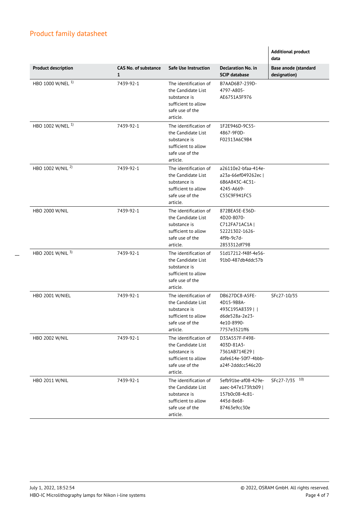$\overline{a}$ 

|                              |                                  |                                                                                                                   |                                                                                                  | <b>Additional product</b><br>data           |
|------------------------------|----------------------------------|-------------------------------------------------------------------------------------------------------------------|--------------------------------------------------------------------------------------------------|---------------------------------------------|
| <b>Product description</b>   | <b>CAS No. of substance</b><br>1 | <b>Safe Use Instruction</b>                                                                                       | <b>Declaration No. in</b><br><b>SCIP database</b>                                                | <b>Base anode (standard</b><br>designation) |
| HBO 1000 W/NEL <sup>1)</sup> | 7439-92-1                        | The identification of<br>the Candidate List<br>substance is<br>sufficient to allow<br>safe use of the<br>article. | B7AAD6B7-239D-<br>4797-A805-<br>AE6751A3F976                                                     |                                             |
| HBO 1002 W/NEL <sup>1)</sup> | 7439-92-1                        | The identification of<br>the Candidate List<br>substance is<br>sufficient to allow<br>safe use of the<br>article. | 1F2E946D-9C55-<br>4867-9F0D-<br>F02313A6C9B4                                                     |                                             |
| HBO 1002 W/NIL <sup>2)</sup> | 7439-92-1                        | The identification of<br>the Candidate List<br>substance is<br>sufficient to allow<br>safe use of the<br>article. | a26110e2-bfaa-414e-<br>a23a-66ef049262ec  <br>6B6A843C-4C31-<br>4245-A669-<br>C55C9F941FC5       |                                             |
| <b>HBO 2000 W/NIL</b>        | 7439-92-1                        | The identification of<br>the Candidate List<br>substance is<br>sufficient to allow<br>safe use of the<br>article. | 872BEA5E-E36D-<br>4D20-8070-<br>C712FA71AC1A  <br>52221302-1626-<br>4f9b-9c7d-<br>2853312df798   |                                             |
| HBO 2001 W/NIL 3)            | 7439-92-1                        | The identification of<br>the Candidate List<br>substance is<br>sufficient to allow<br>safe use of the<br>article. | 51d17212-f48f-4e56-<br>91b0-487db4ddc57b                                                         |                                             |
| <b>HBO 2001 W/NIEL</b>       | 7439-92-1                        | The identification of<br>the Candidate List<br>substance is<br>sufficient to allow<br>safe use of the<br>article. | DB627DC8-A5FE-<br>4D15-9B8A-<br>493C195A8339    <br>d6de528a-2e23-<br>4e10-8990-<br>7757e3521ff6 | SFc27-10/35                                 |
| <b>HBO 2002 W/NIL</b>        | 7439-92-1                        | The identification of<br>the Candidate List<br>substance is<br>sufficient to allow<br>safe use of the<br>article. | D33A557F-F498-<br>403D-81A3-<br>7361AB714E29  <br>dafe614e-50f7-4bbb-<br>a24f-2dddcc546c20       |                                             |
| HBO 2011 W/NIL               | 7439-92-1                        | The identification of<br>the Candidate List<br>substance is<br>sufficient to allow<br>safe use of the<br>article. | 5efb91be-af08-429e-<br>aaec-b47e173fcb09  <br>157b0c08-4c81-<br>445d-8e68-<br>87463e9cc30e       | SFc27-7/35 10)                              |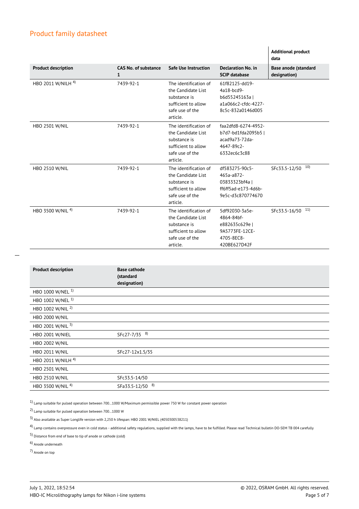|                               |                                      |                                                                                                                   |                                                                                                | <b>Additional product</b><br>data    |
|-------------------------------|--------------------------------------|-------------------------------------------------------------------------------------------------------------------|------------------------------------------------------------------------------------------------|--------------------------------------|
| <b>Product description</b>    | CAS No. of substance<br>$\mathbf{1}$ | <b>Safe Use Instruction</b>                                                                                       | <b>Declaration No. in</b><br><b>SCIP</b> database                                              | Base anode (standard<br>designation) |
| HBO 2011 W/NILH <sup>4)</sup> | 7439-92-1                            | The identification of<br>the Candidate List<br>substance is<br>sufficient to allow<br>safe use of the<br>article. | 61f82125-dd19-<br>4a18-bcd9-<br>b6d55245163al<br>a1a066c2-cfdc-4227-<br>8c5c-832a0146d005      |                                      |
| <b>HBO 2501 W/NIL</b>         | 7439-92-1                            | The identification of<br>the Candidate List<br>substance is<br>sufficient to allow<br>safe use of the<br>article. | faa2dfd8-6274-4952-<br>b7d7-bd1fda2095b5  <br>acad9a73-72da-<br>4647-89c2-<br>6332ec6c3c88     |                                      |
| <b>HBO 2510 W/NIL</b>         | 7439-92-1                            | The identification of<br>the Candidate List<br>substance is<br>sufficient to allow<br>safe use of the<br>article. | df583275-90c5-<br>465a-a872-<br>03833323bf4a  <br>ff6ff5ad-e173-4d6b-<br>9e5c-d3c870774670     | 10)<br>SFc33.5-12/50                 |
| HBO 3500 W/NIL <sup>4)</sup>  | 7439-92-1                            | The identification of<br>the Candidate List<br>substance is<br>sufficient to allow<br>safe use of the<br>article. | 5df92030-3a5e-<br>4864-84bf-<br>e882635c629e  <br>9A5773FE-12CE-<br>4705-8EC8-<br>420BE627D42F | 11)<br>SFc33.5-16/50                 |

| <b>Product description</b>    | <b>Base cathode</b><br>(standard<br>designation) |
|-------------------------------|--------------------------------------------------|
| HBO 1000 W/NEL <sup>1)</sup>  |                                                  |
| HBO 1002 W/NEL <sup>1)</sup>  |                                                  |
| HBO 1002 W/NIL <sup>2)</sup>  |                                                  |
| <b>HBO 2000 W/NIL</b>         |                                                  |
| HBO 2001 W/NIL 3)             |                                                  |
| HBO 2001 W/NIEL               | SFc27-7/35 <sup>8)</sup>                         |
| <b>HBO 2002 W/NIL</b>         |                                                  |
| <b>HBO 2011 W/NIL</b>         | SFc27-12x1.5/35                                  |
| HBO 2011 W/NILH <sup>4)</sup> |                                                  |
| <b>HBO 2501 W/NIL</b>         |                                                  |
| <b>HBO 2510 W/NIL</b>         | SFc33.5-14/50                                    |
| HBO 3500 W/NIL <sup>4)</sup>  | 8)<br>SFa33.5-12/50                              |

 $1)$  Lamp suitable for pulsed operation between 700...1000 W/Maximum permissible power 750 W for constant power operation

2) Lamp suitable for pulsed operation between 700…1000 W

3) Also available as Super Longlife version with 2,250 h lifespan: HBO 2001 W/NIEL (4050300538211)

<sup>4</sup>) Lamp contains overpressure even in cold status - additional safety regulations, supplied with the lamps, have to be fulfilled. Please read Technical bulletin DO-SEM TB 004 carefully

5) Distance from end of base to tip of anode or cathode (cold)

6) Anode underneath

7) Anode on top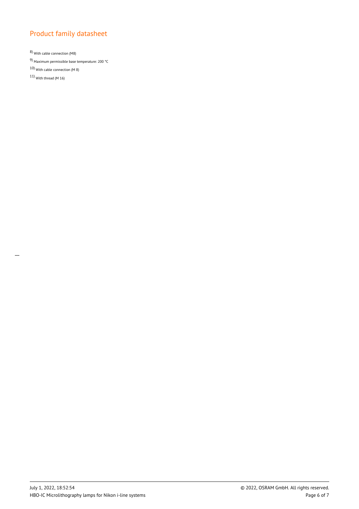8) With cable connection (M8)

9) Maximum permissible base temperature: 200 °C

10) With cable connection (M 8)

11) With thread (M 16)

 $\overline{a}$